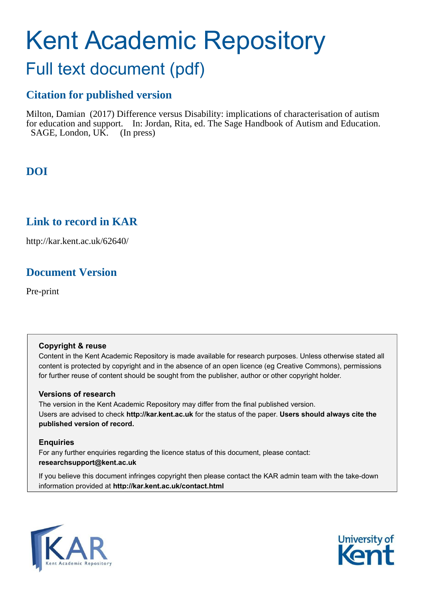# Kent Academic Repository

## Full text document (pdf)

## **Citation for published version**

Milton, Damian (2017) Difference versus Disability: implications of characterisation of autism for education and support. In: Jordan, Rita, ed. The Sage Handbook of Autism and Education. SAGE, London, UK. (In press)

## **DOI**

### **Link to record in KAR**

http://kar.kent.ac.uk/62640/

## **Document Version**

Pre-print

#### **Copyright & reuse**

Content in the Kent Academic Repository is made available for research purposes. Unless otherwise stated all content is protected by copyright and in the absence of an open licence (eg Creative Commons), permissions for further reuse of content should be sought from the publisher, author or other copyright holder.

#### **Versions of research**

The version in the Kent Academic Repository may differ from the final published version. Users are advised to check **http://kar.kent.ac.uk** for the status of the paper. **Users should always cite the published version of record.**

#### **Enquiries**

For any further enquiries regarding the licence status of this document, please contact: **researchsupport@kent.ac.uk**

If you believe this document infringes copyright then please contact the KAR admin team with the take-down information provided at **http://kar.kent.ac.uk/contact.html**



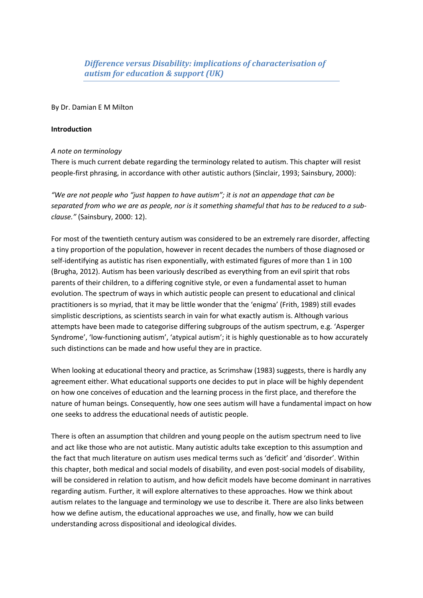#### By Dr. Damian E M Milton

#### **Introduction**

#### *A note on terminology*

There is much current debate regarding the terminology related to autism. This chapter will resist people-first phrasing, in accordance with other autistic authors (Sinclair, 1993; Sainsbury, 2000):

"We are not people who "just happen to have autism"; it is not an appendage that can be *separated from who we are as people, nor is it something shameful that has to be reduced to a subclause."* (Sainsbury, 2000: 12).

For most of the twentieth century autism was considered to be an extremely rare disorder, affecting a tiny proportion of the population, however in recent decades the numbers of those diagnosed or self-identifying as autistic has risen exponentially, with estimated figures of more than 1 in 100 (Brugha, 2012). Autism has been variously described as everything from an evil spirit that robs parents of their children, to a differing cognitive style, or even a fundamental asset to human evolution. The spectrum of ways in which autistic people can present to educational and clinical practitioners is so myriad, that it may be little wonder that the 'enigma' (Frith, 1989) still evades simplistic descriptions, as scientists search in vain for what exactly autism is. Although various attempts have been made to categorise differing subgroups of the autism spectrum, e.g. 'Asperger Syndrome', 'low-functioning autism', 'atypical autism'; it is highly questionable as to how accurately such distinctions can be made and how useful they are in practice.

When looking at educational theory and practice, as Scrimshaw (1983) suggests, there is hardly any agreement either. What educational supports one decides to put in place will be highly dependent on how one conceives of education and the learning process in the first place, and therefore the nature of human beings. Consequently, how one sees autism will have a fundamental impact on how one seeks to address the educational needs of autistic people.

There is often an assumption that children and young people on the autism spectrum need to live and act like those who are not autistic. Many autistic adults take exception to this assumption and the fact that much literature on autism uses medical terms such as 'deficit' and 'disorder'. Within this chapter, both medical and social models of disability, and even post-social models of disability, will be considered in relation to autism, and how deficit models have become dominant in narratives regarding autism. Further, it will explore alternatives to these approaches. How we think about autism relates to the language and terminology we use to describe it. There are also links between how we define autism, the educational approaches we use, and finally, how we can build understanding across dispositional and ideological divides.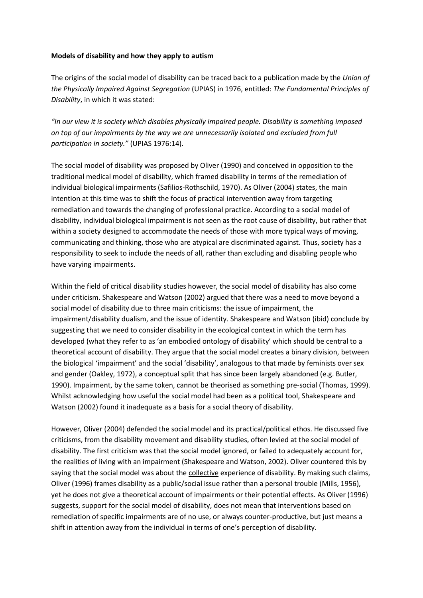#### **Models of disability and how they apply to autism**

The origins of the social model of disability can be traced back to a publication made by the *Union of the Physically Impaired Against Segregation* (UPIAS) in 1976, entitled: *The Fundamental Principles of Disability*, in which it was stated:

*さIミ ラ┌ヴ ┗キW┘ キデ is society which disables physically impaired people. Disability is something imposed on top of our impairments by the way we are unnecessarily isolated and excluded from full*  participation in society." (UPIAS 1976:14).

The social model of disability was proposed by Oliver (1990) and conceived in opposition to the traditional medical model of disability, which framed disability in terms of the remediation of individual biological impairments (Safilios-Rothschild, 1970). As Oliver (2004) states, the main intention at this time was to shift the focus of practical intervention away from targeting remediation and towards the changing of professional practice. According to a social model of disability, individual biological impairment is not seen as the root cause of disability, but rather that within a society designed to accommodate the needs of those with more typical ways of moving, communicating and thinking, those who are atypical are discriminated against. Thus, society has a responsibility to seek to include the needs of all, rather than excluding and disabling people who have varying impairments.

Within the field of critical disability studies however, the social model of disability has also come under criticism. Shakespeare and Watson (2002) argued that there was a need to move beyond a social model of disability due to three main criticisms: the issue of impairment, the impairment/disability dualism, and the issue of identity. Shakespeare and Watson (ibid) conclude by suggesting that we need to consider disability in the ecological context in which the term has developed (what they refer to as 'an embodied ontology of disability' which should be central to a theoretical account of disability. They argue that the social model creates a binary division, between the biological 'impairment' and the social 'disability', analogous to that made by feminists over sex and gender (Oakley, 1972), a conceptual split that has since been largely abandoned (e.g. Butler, 1990). Impairment, by the same token, cannot be theorised as something pre-social (Thomas, 1999). Whilst acknowledging how useful the social model had been as a political tool, Shakespeare and Watson (2002) found it inadequate as a basis for a social theory of disability.

However, Oliver (2004) defended the social model and its practical/political ethos. He discussed five criticisms, from the disability movement and disability studies, often levied at the social model of disability. The first criticism was that the social model ignored, or failed to adequately account for, the realities of living with an impairment (Shakespeare and Watson, 2002). Oliver countered this by saying that the social model was about the collective experience of disability. By making such claims, Oliver (1996) frames disability as a public/social issue rather than a personal trouble (Mills, 1956), yet he does not give a theoretical account of impairments or their potential effects. As Oliver (1996) suggests, support for the social model of disability, does not mean that interventions based on remediation of specific impairments are of no use, or always counter-productive, but just means a shift in attention away from the individual in terms of one's perception of disability.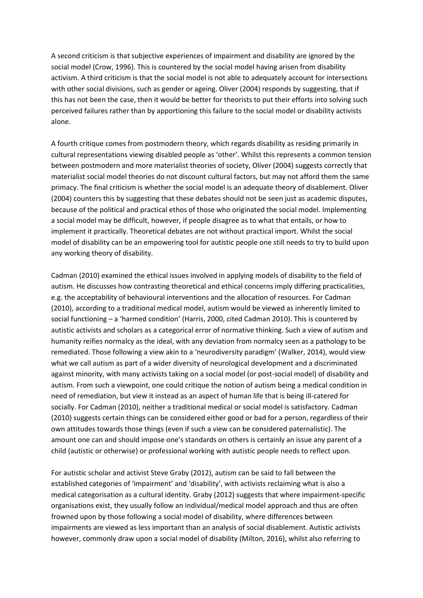A second criticism is that subjective experiences of impairment and disability are ignored by the social model (Crow, 1996). This is countered by the social model having arisen from disability activism. A third criticism is that the social model is not able to adequately account for intersections with other social divisions, such as gender or ageing. Oliver (2004) responds by suggesting, that if this has not been the case, then it would be better for theorists to put their efforts into solving such perceived failures rather than by apportioning this failure to the social model or disability activists alone.

A fourth critique comes from postmodern theory, which regards disability as residing primarily in cultural representations viewing disabled people as 'other'. Whilst this represents a common tension between postmodern and more materialist theories of society, Oliver (2004) suggests correctly that materialist social model theories do not discount cultural factors, but may not afford them the same primacy. The final criticism is whether the social model is an adequate theory of disablement. Oliver (2004) counters this by suggesting that these debates should not be seen just as academic disputes, because of the political and practical ethos of those who originated the social model. Implementing a social model may be difficult, however, if people disagree as to what that entails, or how to implement it practically. Theoretical debates are not without practical import. Whilst the social model of disability can be an empowering tool for autistic people one still needs to try to build upon any working theory of disability.

Cadman (2010) examined the ethical issues involved in applying models of disability to the field of autism. He discusses how contrasting theoretical and ethical concerns imply differing practicalities, e.g. the acceptability of behavioural interventions and the allocation of resources. For Cadman (2010), according to a traditional medical model, autism would be viewed as inherently limited to social functioning - a 'harmed condition' (Harris, 2000, cited Cadman 2010). This is countered by autistic activists and scholars as a categorical error of normative thinking. Such a view of autism and humanity reifies normalcy as the ideal, with any deviation from normalcy seen as a pathology to be remediated. Those following a view akin to a 'neurodiversity paradigm' (Walker, 2014), would view what we call autism as part of a wider diversity of neurological development and a discriminated against minority, with many activists taking on a social model (or post-social model) of disability and autism. From such a viewpoint, one could critique the notion of autism being a medical condition in need of remediation, but view it instead as an aspect of human life that is being ill-catered for socially. For Cadman (2010), neither a traditional medical or social model is satisfactory. Cadman (2010) suggests certain things can be considered either good or bad for a person, regardless of their own attitudes towards those things (even if such a view can be considered paternalistic). The amount one can and should impose one's standards on others is certainly an issue any parent of a child (autistic or otherwise) or professional working with autistic people needs to reflect upon.

For autistic scholar and activist Steve Graby (2012), autism can be said to fall between the established categories of 'impairment' and 'disability', with activists reclaiming what is also a medical categorisation as a cultural identity. Graby (2012) suggests that where impairment-specific organisations exist, they usually follow an individual/medical model approach and thus are often frowned upon by those following a social model of disability, where differences between impairments are viewed as less important than an analysis of social disablement. Autistic activists however, commonly draw upon a social model of disability (Milton, 2016), whilst also referring to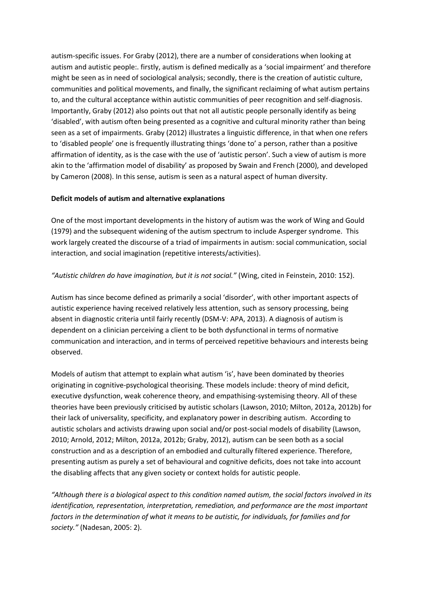autism-specific issues. For Graby (2012), there are a number of considerations when looking at autism and autistic people:. firstly, autism is defined medically as a 'social impairment' and therefore might be seen as in need of sociological analysis; secondly, there is the creation of autistic culture, communities and political movements, and finally, the significant reclaiming of what autism pertains to, and the cultural acceptance within autistic communities of peer recognition and self-diagnosis. Importantly, Graby (2012) also points out that not all autistic people personally identify as being 'disabled', with autism often being presented as a cognitive and cultural minority rather than being seen as a set of impairments. Graby (2012) illustrates a linguistic difference, in that when one refers to 'disabled people' one is frequently illustrating things 'done to' a person, rather than a positive affirmation of identity, as is the case with the use of 'autistic person'. Such a view of autism is more akin to the 'affirmation model of disability' as proposed by Swain and French (2000), and developed by Cameron (2008). In this sense, autism is seen as a natural aspect of human diversity.

#### **Deficit models of autism and alternative explanations**

One of the most important developments in the history of autism was the work of Wing and Gould (1979) and the subsequent widening of the autism spectrum to include Asperger syndrome. This work largely created the discourse of a triad of impairments in autism: social communication, social interaction, and social imagination (repetitive interests/activities).

#### "Autistic children do have imagination, but it is not social." (Wing, cited in Feinstein, 2010: 152).

Autism has since become defined as primarily a social 'disorder', with other important aspects of autistic experience having received relatively less attention, such as sensory processing, being absent in diagnostic criteria until fairly recently (DSM-V: APA, 2013). A diagnosis of autism is dependent on a clinician perceiving a client to be both dysfunctional in terms of normative communication and interaction, and in terms of perceived repetitive behaviours and interests being observed.

Models of autism that attempt to explain what autism 'is', have been dominated by theories originating in cognitive-psychological theorising. These models include: theory of mind deficit, executive dysfunction, weak coherence theory, and empathising-systemising theory. All of these theories have been previously criticised by autistic scholars (Lawson, 2010; Milton, 2012a, 2012b) for their lack of universality, specificity, and explanatory power in describing autism. According to autistic scholars and activists drawing upon social and/or post-social models of disability (Lawson, 2010; Arnold, 2012; Milton, 2012a, 2012b; Graby, 2012), autism can be seen both as a social construction and as a description of an embodied and culturally filtered experience. Therefore, presenting autism as purely a set of behavioural and cognitive deficits, does not take into account the disabling affects that any given society or context holds for autistic people.

"Although there is a biological aspect to this condition named autism, the social factors involved in its *identification, representation, interpretation, remediation, and performance are the most important factors in the determination of what it means to be autistic, for individuals, for families and for society."* (Nadesan, 2005: 2).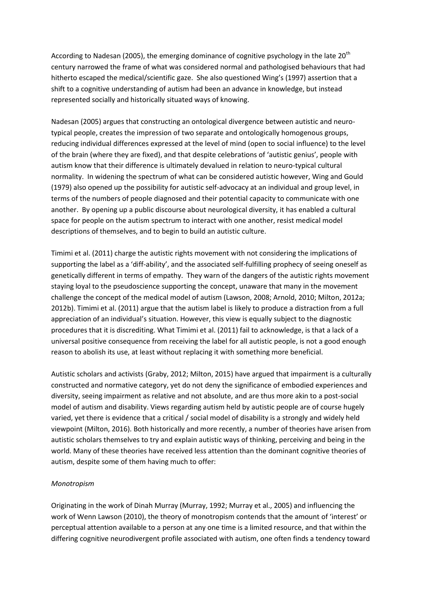According to Nadesan (2005), the emerging dominance of cognitive psychology in the late  $20<sup>th</sup>$ century narrowed the frame of what was considered normal and pathologised behaviours that had hitherto escaped the medical/scientific gaze. She also questioned Wing's (1997) assertion that a shift to a cognitive understanding of autism had been an advance in knowledge, but instead represented socially and historically situated ways of knowing.

Nadesan (2005) argues that constructing an ontological divergence between autistic and neurotypical people, creates the impression of two separate and ontologically homogenous groups, reducing individual differences expressed at the level of mind (open to social influence) to the level of the brain (where they are fixed), and that despite celebrations of 'autistic genius', people with autism know that their difference is ultimately devalued in relation to neuro-typical cultural normality. In widening the spectrum of what can be considered autistic however, Wing and Gould (1979) also opened up the possibility for autistic self-advocacy at an individual and group level, in terms of the numbers of people diagnosed and their potential capacity to communicate with one another. By opening up a public discourse about neurological diversity, it has enabled a cultural space for people on the autism spectrum to interact with one another, resist medical model descriptions of themselves, and to begin to build an autistic culture.

Timimi et al. (2011) charge the autistic rights movement with not considering the implications of supporting the label as a 'diff-ability', and the associated self-fulfilling prophecy of seeing oneself as genetically different in terms of empathy. They warn of the dangers of the autistic rights movement staying loyal to the pseudoscience supporting the concept, unaware that many in the movement challenge the concept of the medical model of autism (Lawson, 2008; Arnold, 2010; Milton, 2012a; 2012b). Timimi et al. (2011) argue that the autism label is likely to produce a distraction from a full appreciation of an individual's situation. However, this view is equally subject to the diagnostic procedures that it is discrediting. What Timimi et al. (2011) fail to acknowledge, is that a lack of a universal positive consequence from receiving the label for all autistic people, is not a good enough reason to abolish its use, at least without replacing it with something more beneficial.

Autistic scholars and activists (Graby, 2012; Milton, 2015) have argued that impairment is a culturally constructed and normative category, yet do not deny the significance of embodied experiences and diversity, seeing impairment as relative and not absolute, and are thus more akin to a post-social model of autism and disability. Views regarding autism held by autistic people are of course hugely varied, yet there is evidence that a critical / social model of disability is a strongly and widely held viewpoint (Milton, 2016). Both historically and more recently, a number of theories have arisen from autistic scholars themselves to try and explain autistic ways of thinking, perceiving and being in the world. Many of these theories have received less attention than the dominant cognitive theories of autism, despite some of them having much to offer:

#### *Monotropism*

Originating in the work of Dinah Murray (Murray, 1992; Murray et al., 2005) and influencing the work of Wenn Lawson (2010), the theory of monotropism contends that the amount of 'interest' or perceptual attention available to a person at any one time is a limited resource, and that within the differing cognitive neurodivergent profile associated with autism, one often finds a tendency toward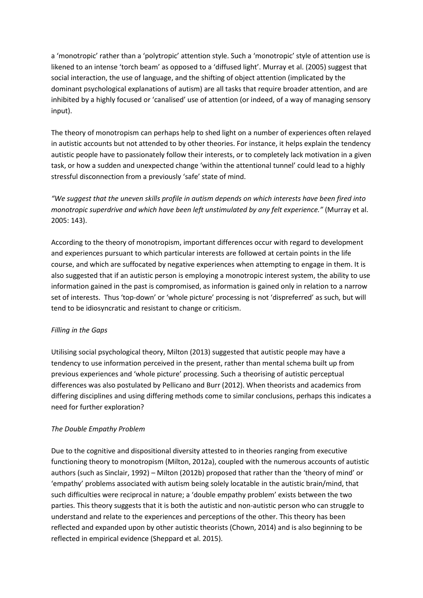a 'monotropic' rather than a 'polytropic' attention style. Such a 'monotropic' style of attention use is likened to an intense 'torch beam' as opposed to a 'diffused light'. Murray et al. (2005) suggest that social interaction, the use of language, and the shifting of object attention (implicated by the dominant psychological explanations of autism) are all tasks that require broader attention, and are inhibited by a highly focused or 'canalised' use of attention (or indeed, of a way of managing sensory input).

The theory of monotropism can perhaps help to shed light on a number of experiences often relayed in autistic accounts but not attended to by other theories. For instance, it helps explain the tendency autistic people have to passionately follow their interests, or to completely lack motivation in a given task, or how a sudden and unexpected change 'within the attentional tunnel' could lead to a highly stressful disconnection from a previously 'safe' state of mind.

*d*We suggest that the uneven skills profile in autism depends on which interests have been fired into *monotropic superdrive and which have been left unstimulated by any felt experience."* (Murray et al. 2005: 143).

According to the theory of monotropism, important differences occur with regard to development and experiences pursuant to which particular interests are followed at certain points in the life course, and which are suffocated by negative experiences when attempting to engage in them. It is also suggested that if an autistic person is employing a monotropic interest system, the ability to use information gained in the past is compromised, as information is gained only in relation to a narrow set of interests. Thus 'top-down' or 'whole picture' processing is not 'dispreferred' as such, but will tend to be idiosyncratic and resistant to change or criticism.

#### *Filling in the Gaps*

Utilising social psychological theory, Milton (2013) suggested that autistic people may have a tendency to use information perceived in the present, rather than mental schema built up from previous experiences and 'whole picture' processing. Such a theorising of autistic perceptual differences was also postulated by Pellicano and Burr (2012). When theorists and academics from differing disciplines and using differing methods come to similar conclusions, perhaps this indicates a need for further exploration?

#### *The Double Empathy Problem*

Due to the cognitive and dispositional diversity attested to in theories ranging from executive functioning theory to monotropism (Milton, 2012a), coupled with the numerous accounts of autistic authors (such as Sinclair, 1992) – Milton (2012b) proposed that rather than the 'theory of mind' or 'empathy' problems associated with autism being solely locatable in the autistic brain/mind, that such difficulties were reciprocal in nature; a 'double empathy problem' exists between the two parties. This theory suggests that it is both the autistic and non-autistic person who can struggle to understand and relate to the experiences and perceptions of the other. This theory has been reflected and expanded upon by other autistic theorists (Chown, 2014) and is also beginning to be reflected in empirical evidence (Sheppard et al. 2015).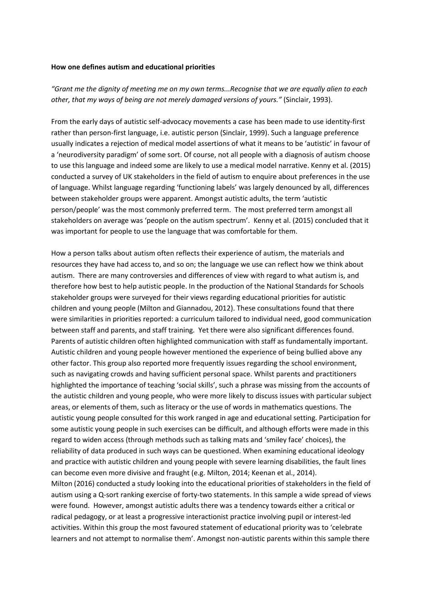#### **How one defines autism and educational priorities**

"Grant me the dignity of meeting me on my own terms...Recognise that we are equally alien to each *other, that my ways of being are not merely damaged versions of yours."* (Sinclair, 1993).

From the early days of autistic self-advocacy movements a case has been made to use identity-first rather than person-first language, i.e. autistic person (Sinclair, 1999). Such a language preference usually indicates a rejection of medical model assertions of what it means to be 'autistic' in favour of a 'neurodiversity paradigm' of some sort. Of course, not all people with a diagnosis of autism choose to use this language and indeed some are likely to use a medical model narrative. Kenny et al. (2015) conducted a survey of UK stakeholders in the field of autism to enquire about preferences in the use of language. Whilst language regarding 'functioning labels' was largely denounced by all, differences between stakeholder groups were apparent. Amongst autistic adults, the term 'autistic person/people' was the most commonly preferred term. The most preferred term amongst all stakeholders on average was 'people on the autism spectrum'. Kenny et al. (2015) concluded that it was important for people to use the language that was comfortable for them.

How a person talks about autism often reflects their experience of autism, the materials and resources they have had access to, and so on; the language we use can reflect how we think about autism. There are many controversies and differences of view with regard to what autism is, and therefore how best to help autistic people. In the production of the National Standards for Schools stakeholder groups were surveyed for their views regarding educational priorities for autistic children and young people (Milton and Giannadou, 2012). These consultations found that there were similarities in priorities reported: a curriculum tailored to individual need, good communication between staff and parents, and staff training. Yet there were also significant differences found. Parents of autistic children often highlighted communication with staff as fundamentally important. Autistic children and young people however mentioned the experience of being bullied above any other factor. This group also reported more frequently issues regarding the school environment, such as navigating crowds and having sufficient personal space. Whilst parents and practitioners highlighted the importance of teaching 'social skills', such a phrase was missing from the accounts of the autistic children and young people, who were more likely to discuss issues with particular subject areas, or elements of them, such as literacy or the use of words in mathematics questions. The autistic young people consulted for this work ranged in age and educational setting. Participation for some autistic young people in such exercises can be difficult, and although efforts were made in this regard to widen access (through methods such as talking mats and 'smiley face' choices), the reliability of data produced in such ways can be questioned. When examining educational ideology and practice with autistic children and young people with severe learning disabilities, the fault lines can become even more divisive and fraught (e.g. Milton, 2014; Keenan et al., 2014). Milton (2016) conducted a study looking into the educational priorities of stakeholders in the field of autism using a Q-sort ranking exercise of forty-two statements. In this sample a wide spread of views were found. However, amongst autistic adults there was a tendency towards either a critical or radical pedagogy, or at least a progressive interactionist practice involving pupil or interest-led activities. Within this group the most favoured statement of educational priority was to 'celebrate learners and not attempt to normalise them'. Amongst non-autistic parents within this sample there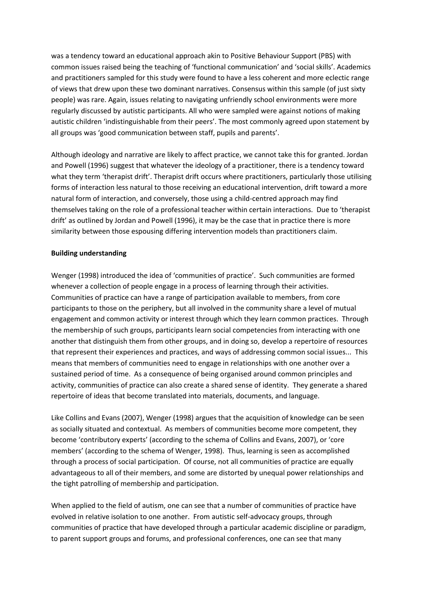was a tendency toward an educational approach akin to Positive Behaviour Support (PBS) with common issues raised being the teaching of 'functional communication' and 'social skills'. Academics and practitioners sampled for this study were found to have a less coherent and more eclectic range of views that drew upon these two dominant narratives. Consensus within this sample (of just sixty people) was rare. Again, issues relating to navigating unfriendly school environments were more regularly discussed by autistic participants. All who were sampled were against notions of making autistic children 'indistinguishable from their peers'. The most commonly agreed upon statement by all groups was 'good communication between staff, pupils and parents'.

Although ideology and narrative are likely to affect practice, we cannot take this for granted. Jordan and Powell (1996) suggest that whatever the ideology of a practitioner, there is a tendency toward what they term 'therapist drift'. Therapist drift occurs where practitioners, particularly those utilising forms of interaction less natural to those receiving an educational intervention, drift toward a more natural form of interaction, and conversely, those using a child-centred approach may find themselves taking on the role of a professional teacher within certain interactions. Due to 'therapist drift' as outlined by Jordan and Powell (1996), it may be the case that in practice there is more similarity between those espousing differing intervention models than practitioners claim.

#### **Building understanding**

Wenger (1998) introduced the idea of 'communities of practice'. Such communities are formed whenever a collection of people engage in a process of learning through their activities. Communities of practice can have a range of participation available to members, from core participants to those on the periphery, but all involved in the community share a level of mutual engagement and common activity or interest through which they learn common practices. Through the membership of such groups, participants learn social competencies from interacting with one another that distinguish them from other groups, and in doing so, develop a repertoire of resources that represent their experiences and practices, and ways of addressing common social issues... This means that members of communities need to engage in relationships with one another over a sustained period of time. As a consequence of being organised around common principles and activity, communities of practice can also create a shared sense of identity. They generate a shared repertoire of ideas that become translated into materials, documents, and language.

Like Collins and Evans (2007), Wenger (1998) argues that the acquisition of knowledge can be seen as socially situated and contextual. As members of communities become more competent, they become 'contributory experts' (according to the schema of Collins and Evans, 2007), or 'core members' (according to the schema of Wenger, 1998). Thus, learning is seen as accomplished through a process of social participation. Of course, not all communities of practice are equally advantageous to all of their members, and some are distorted by unequal power relationships and the tight patrolling of membership and participation.

When applied to the field of autism, one can see that a number of communities of practice have evolved in relative isolation to one another. From autistic self-advocacy groups, through communities of practice that have developed through a particular academic discipline or paradigm, to parent support groups and forums, and professional conferences, one can see that many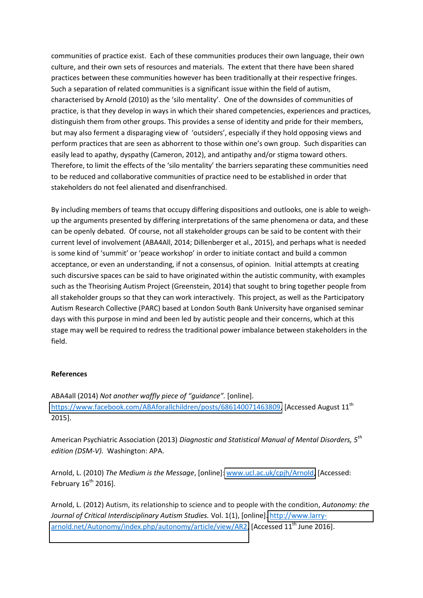communities of practice exist. Each of these communities produces their own language, their own culture, and their own sets of resources and materials. The extent that there have been shared practices between these communities however has been traditionally at their respective fringes. Such a separation of related communities is a significant issue within the field of autism, characterised by Arnold (2010) as the 'silo mentality'. One of the downsides of communities of practice, is that they develop in ways in which their shared competencies, experiences and practices, distinguish them from other groups. This provides a sense of identity and pride for their members, but may also ferment a disparaging view of 'outsiders', especially if they hold opposing views and perform practices that are seen as abhorrent to those within one's own group. Such disparities can easily lead to apathy, dyspathy (Cameron, 2012), and antipathy and/or stigma toward others. Therefore, to limit the effects of the 'silo mentality' the barriers separating these communities need to be reduced and collaborative communities of practice need to be established in order that stakeholders do not feel alienated and disenfranchised.

By including members of teams that occupy differing dispositions and outlooks, one is able to weighup the arguments presented by differing interpretations of the same phenomena or data, and these can be openly debated. Of course, not all stakeholder groups can be said to be content with their current level of involvement (ABA4All, 2014; Dillenberger et al., 2015), and perhaps what is needed is some kind of 'summit' or 'peace workshop' in order to initiate contact and build a common acceptance, or even an understanding, if not a consensus, of opinion. Initial attempts at creating such discursive spaces can be said to have originated within the autistic community, with examples such as the Theorising Autism Project (Greenstein, 2014) that sought to bring together people from all stakeholder groups so that they can work interactively. This project, as well as the Participatory Autism Research Collective (PARC) based at London South Bank University have organised seminar days with this purpose in mind and been led by autistic people and their concerns, which at this stage may well be required to redress the traditional power imbalance between stakeholders in the field.

#### **References**

ABA4all (2014) *Not another waffly piece of "quidance"*. [online]. [https://www.facebook.com/ABAforallchildren/posts/686140071463809,](https://www.facebook.com/ABAforallchildren/posts/686140071463809) [Accessed August 11<sup>th</sup> 2015].

American Psychiatric Association (2013) *Diagnostic and Statistical Manual of Mental Disorders, 5th edition (DSM-V).* Washington: APA.

Arnold, L. (2010) *The Medium is the Message*, [online][: www.ucl.ac.uk/cpjh/Arnold,](http://www.ucl.ac.uk/cpjh/Arnold) [Accessed: February  $16^{th}$  2016].

Arnold, L. (2012) Autism, its relationship to science and to people with the condition, *Autonomy: the Journal of Critical Interdisciplinary Autism Studies.* Vol. 1(1), [online][. http://www.larry](http://www.larry-arnold.net/Autonomy/index.php/autonomy/article/view/AR2)[arnold.net/Autonomy/index.php/autonomy/article/view/AR2,](http://www.larry-arnold.net/Autonomy/index.php/autonomy/article/view/AR2) [Accessed 11<sup>th</sup> June 2016].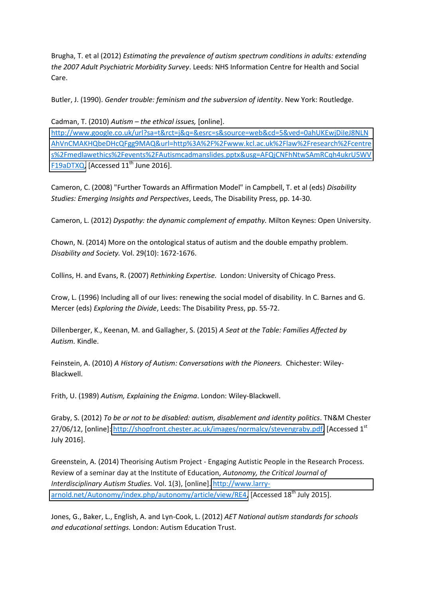Brugha, T. et al (2012) *Estimating the prevalence of autism spectrum conditions in adults: extending the 2007 Adult Psychiatric Morbidity Survey*. Leeds: NHS Information Centre for Health and Social Care.

Butler, J. (1990). *Gender trouble: feminism and the subversion of identity*. New York: Routledge.

Cadman, T. (2010) *Autism – the ethical issues*, [online].

[http://www.google.co.uk/url?sa=t&rct=j&q=&esrc=s&source=web&cd=5&ved=0ahUKEwjDiIeJ8NLN](http://www.google.co.uk/url?sa=t&rct=j&q=&esrc=s&source=web&cd=5&ved=0ahUKEwjDiIeJ8NLNAhVnCMAKHQbeDHcQFgg9MAQ&url=http%3A%2F%2Fwww.kcl.ac.uk%2Flaw%2Fresearch%2Fcentres%2Fmedlawethics%2Fevents%2FAutismcadmanslides.pptx&usg=AFQjCNFhNtwSAmRCqh4ukrU5WVF19aDTXQ) [AhVnCMAKHQbeDHcQFgg9MAQ&url=http%3A%2F%2Fwww.kcl.ac.uk%2Flaw%2Fresearch%2Fcentre](http://www.google.co.uk/url?sa=t&rct=j&q=&esrc=s&source=web&cd=5&ved=0ahUKEwjDiIeJ8NLNAhVnCMAKHQbeDHcQFgg9MAQ&url=http%3A%2F%2Fwww.kcl.ac.uk%2Flaw%2Fresearch%2Fcentres%2Fmedlawethics%2Fevents%2FAutismcadmanslides.pptx&usg=AFQjCNFhNtwSAmRCqh4ukrU5WVF19aDTXQ) [s%2Fmedlawethics%2Fevents%2FAutismcadmanslides.pptx&usg=AFQjCNFhNtwSAmRCqh4ukrU5WV](http://www.google.co.uk/url?sa=t&rct=j&q=&esrc=s&source=web&cd=5&ved=0ahUKEwjDiIeJ8NLNAhVnCMAKHQbeDHcQFgg9MAQ&url=http%3A%2F%2Fwww.kcl.ac.uk%2Flaw%2Fresearch%2Fcentres%2Fmedlawethics%2Fevents%2FAutismcadmanslides.pptx&usg=AFQjCNFhNtwSAmRCqh4ukrU5WVF19aDTXQ) [F19aDTXQ,](http://www.google.co.uk/url?sa=t&rct=j&q=&esrc=s&source=web&cd=5&ved=0ahUKEwjDiIeJ8NLNAhVnCMAKHQbeDHcQFgg9MAQ&url=http%3A%2F%2Fwww.kcl.ac.uk%2Flaw%2Fresearch%2Fcentres%2Fmedlawethics%2Fevents%2FAutismcadmanslides.pptx&usg=AFQjCNFhNtwSAmRCqh4ukrU5WVF19aDTXQ) [Accessed 11<sup>th</sup> June 2016].

Cameron, C. (2008) "Further Towards an Affirmation Model" in Campbell, T. et al (eds) *Disability Studies: Emerging Insights and Perspectives*, Leeds, The Disability Press, pp. 14-30.

Cameron, L. (2012) *Dyspathy: the dynamic complement of empathy.* Milton Keynes: Open University.

Chown, N. (2014) More on the ontological status of autism and the double empathy problem. *Disability and Society.* Vol. 29(10): 1672-1676.

Collins, H. and Evans, R. (2007) *Rethinking Expertise.* London: University of Chicago Press.

Crow, L. (1996) Including all of our lives: renewing the social model of disability. In C. Barnes and G. Mercer (eds) *Exploring the Divide*, Leeds: The Disability Press, pp. 55-72.

Dillenberger, K., Keenan, M. and Gallagher, S. (2015) *A Seat at the Table: Families Affected by Autism.* Kindle.

Feinstein, A. (2010) *A History of Autism: Conversations with the Pioneers.* Chichester: Wiley-Blackwell.

Frith, U. (1989) *Autism, Explaining the Enigma*. London: Wiley-Blackwell.

Graby, S. (2012) *To be or not to be disabled: autism, disablement and identity politics*. TN&M Chester 27/06/12, [online]: [http://shopfront.chester.ac.uk/images/normalcy/stevengraby.pdf,](http://shopfront.chester.ac.uk/images/normalcy/stevengraby.pdf) [Accessed 1<sup>st</sup>] July 2016].

Greenstein, A. (2014) Theorising Autism Project - Engaging Autistic People in the Research Process. Review of a seminar day at the Institute of Education, *Autonomy, the Critical Journal of Interdisciplinary Autism Studies.* Vol. 1(3), [online][. http://www.larry](http://www.larry-arnold.net/Autonomy/index.php/autonomy/article/view/RE4)[arnold.net/Autonomy/index.php/autonomy/article/view/RE4,](http://www.larry-arnold.net/Autonomy/index.php/autonomy/article/view/RE4) [Accessed 18<sup>th</sup> July 2015].

Jones, G., Baker, L., English, A. and Lyn-Cook, L. (2012) *AET National autism standards for schools and educational settings.* London: Autism Education Trust.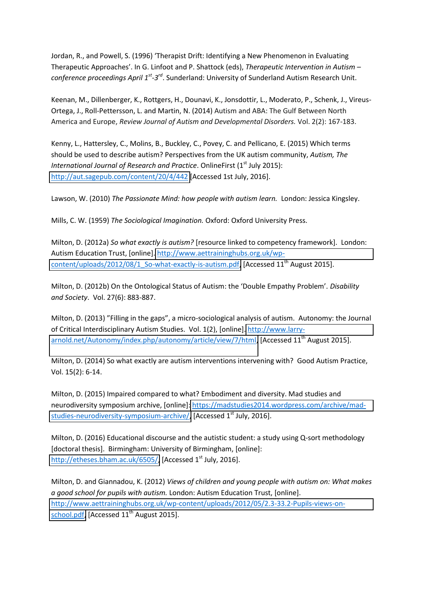Jordan, R., and Powell, S. (1996) 'Therapist Drift: Identifying a New Phenomenon in Evaluating Therapeutic Approaches'. In G. Linfoot and P. Shattock (eds), Therapeutic Intervention in Autism *conference proceedings April 1st-3rd*. Sunderland: University of Sunderland Autism Research Unit.

Keenan, M., Dillenberger, K., Rottgers, H., Dounavi, K., Jonsdottir, L., Moderato, P., Schenk, J., Vireus-Ortega, J., Roll-Pettersson, L. and Martin, N. (2014) Autism and ABA: The Gulf Between North America and Europe, *Review Journal of Autism and Developmental Disorders.* Vol. 2(2): 167-183.

Kenny, L., Hattersley, C., Molins, B., Buckley, C., Povey, C. and Pellicano, E. (2015) Which terms should be used to describe autism? Perspectives from the UK autism community, *Autism, The International Journal of Research and Practice.* OnlineFirst (1<sup>st</sup> July 2015): <http://aut.sagepub.com/content/20/4/442>[Accessed 1st July, 2016].

Lawson, W. (2010) *The Passionate Mind: how people with autism learn.* London: Jessica Kingsley.

Mills, C. W. (1959) *The Sociological Imagination.* Oxford: Oxford University Press.

Milton, D. (2012a) *So what exactly is autism?* [resource linked to competency framework]. London: Autism Education Trust, [online]. [http://www.aettraininghubs.org.uk/wp](http://www.aettraininghubs.org.uk/wp-content/uploads/2012/08/1_So-what-exactly-is-autism.pdf)[content/uploads/2012/08/1\\_So-what-exactly-is-autism.pdf,](http://www.aettraininghubs.org.uk/wp-content/uploads/2012/08/1_So-what-exactly-is-autism.pdf) [Accessed 11<sup>th</sup> August 2015].

Milton, D. (2012b) On the Ontological Status of Autism: the 'Double Empathy Problem'. *Disability and Society*. Vol. 27(6): 883-887.

Milton, D. (2013) "Filling in the gaps", a micro-sociological analysis of autism. Autonomy: the Journal of Critical Interdisciplinary Autism Studies. Vol. 1(2), [online][. http://www.larry](http://www.larry-arnold.net/Autonomy/index.php/autonomy/article/view/7/html)[arnold.net/Autonomy/index.php/autonomy/article/view/7/html,](http://www.larry-arnold.net/Autonomy/index.php/autonomy/article/view/7/html) [Accessed 11<sup>th</sup> August 2015].

Milton, D. (2014) So what exactly are autism interventions intervening with? Good Autism Practice, Vol. 15(2): 6-14.

Milton, D. (2015) Impaired compared to what? Embodiment and diversity. Mad studies and neurodiversity symposium archive, [online][: https://madstudies2014.wordpress.com/archive/mad](https://madstudies2014.wordpress.com/archive/mad-studies-neurodiversity-symposium-archive/)[studies-neurodiversity-symposium-archive/,](https://madstudies2014.wordpress.com/archive/mad-studies-neurodiversity-symposium-archive/) [Accessed 1<sup>st</sup> July, 2016].

Milton, D. (2016) Educational discourse and the autistic student: a study using Q-sort methodology [doctoral thesis]. Birmingham: University of Birmingham, [online]: [http://etheses.bham.ac.uk/6505/,](http://etheses.bham.ac.uk/6505/) [Accessed 1<sup>st</sup> July, 2016].

Milton, D. and Giannadou, K. (2012) *Views of children and young people with autism on: What makes a good school for pupils with autism.* London: Autism Education Trust, [online]. [http://www.aettraininghubs.org.uk/wp-content/uploads/2012/05/2.3-33.2-Pupils-views-on](http://www.aettraininghubs.org.uk/wp-content/uploads/2012/05/2.3-33.2-Pupils-views-on-school.pdf)[school.pdf,](http://www.aettraininghubs.org.uk/wp-content/uploads/2012/05/2.3-33.2-Pupils-views-on-school.pdf) [Accessed 11<sup>th</sup> August 2015].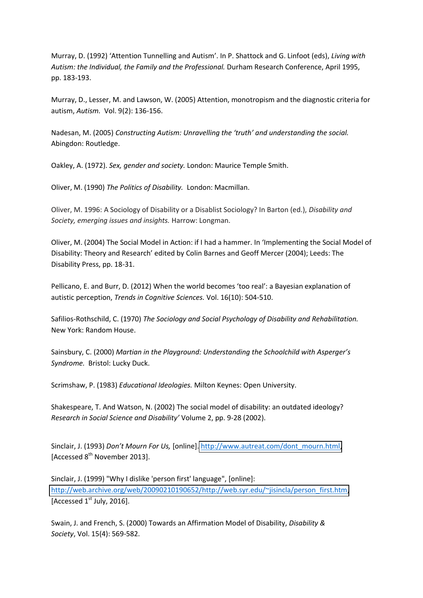Murray, D. (1992) 'Attention Tunnelling and Autism'. In P. Shattock and G. Linfoot (eds), Living with *Autism: the Individual, the Family and the Professional.* Durham Research Conference, April 1995, pp. 183-193.

Murray, D., Lesser, M. and Lawson, W. (2005) Attention, monotropism and the diagnostic criteria for autism, *Autism.* Vol. 9(2): 136-156.

Nadesan, M. (2005) *Constructing Autism: Unravelling the 'truth' and understanding the social.* Abingdon: Routledge.

Oakley, A. (1972). *Sex, gender and society.* London: Maurice Temple Smith.

Oliver, M. (1990) *The Politics of Disability.* London: Macmillan.

Oliver, M. 1996: A Sociology of Disability or a Disablist Sociology? In Barton (ed.), *Disability and Society, emerging issues and insights.* Harrow: Longman.

Oliver, M. (2004) The Social Model in Action: if I had a hammer. In 'Implementing the Social Model of Disability: Theory and Research' edited by Colin Barnes and Geoff Mercer (2004); Leeds: The Disability Press, pp. 18-31.

Pellicano, E. and Burr, D. (2012) When the world becomes 'too real': a Bayesian explanation of autistic perception, *Trends in Cognitive Sciences.* Vol. 16(10): 504-510.

Safilios-Rothschild, C. (1970) *The Sociology and Social Psychology of Disability and Rehabilitation.*  New York: Random House.

Sainsbury, C. (2000) *Martian in the Playground: Understanding the Schoolchild with Asperger's Syndrome.* Bristol: Lucky Duck.

Scrimshaw, P. (1983) *Educational Ideologies.* Milton Keynes: Open University.

Shakespeare, T. And Watson, N. (2002) The social model of disability: an outdated ideology? *Research in Social Science and Disability'* Volume 2, pp. 9-28 (2002).

Sinclair, J. (1993) *Don't Mourn For Us*, [online][. http://www.autreat.com/dont\\_mourn.html,](http://www.autreat.com/dont_mourn.html) [Accessed 8<sup>th</sup> November 2013].

Sinclair, J. (1999) "Why I dislike 'person first' language", [online]: [http://web.archive.org/web/20090210190652/http://web.syr.edu/~jisincla/person\\_first.htm,](http://web.archive.org/web/20090210190652/http:/web.syr.edu/~jisincla/person_first.htm) [Accessed  $1<sup>st</sup>$  July, 2016].

Swain, J. and French, S. (2000) Towards an Affirmation Model of Disability, *Disability & Society*, Vol. 15(4): 569-582.